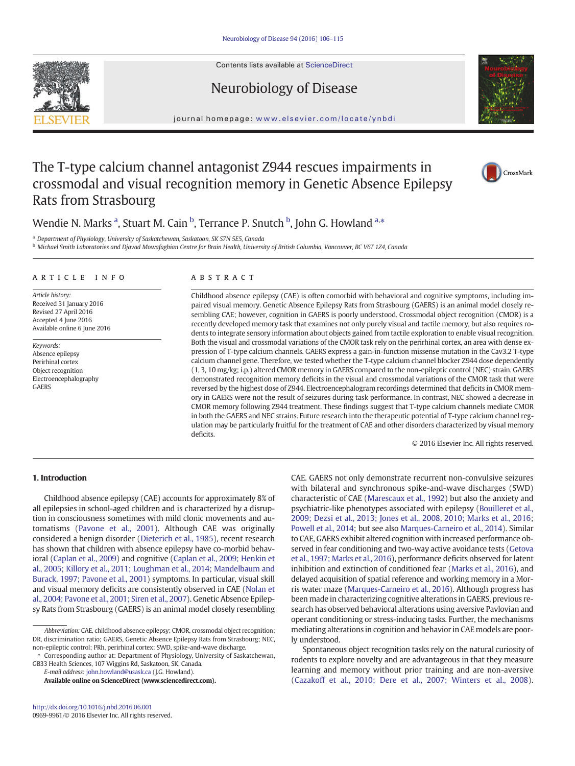Contents lists available at [ScienceDirect](http://www.sciencedirect.com/science/journal/09699961)

# Neurobiology of Disease

journal homepage: <www.elsevier.com/locate/ynbdi>

# The T-type calcium channel antagonist Z944 rescues impairments in crossmodal and visual recognition memory in Genetic Absence Epilepsy Rats from Strasbourg



a Department of Physiology, University of Saskatchewan, Saskatoon, SK S7N 5E5, Canada

<sup>b</sup> Michael Smith Laboratories and Djavad Mowafaghian Centre for Brain Health, University of British Columbia, Vancouver, BC V6T 1Z4, Canada

# article info abstract

Article history: Received 31 January 2016 Revised 27 April 2016 Accepted 4 June 2016 Available online 6 June 2016

Keywords: Absence epilepsy Perirhinal cortex Object recognition Electroencephalography **GAERS** 

Childhood absence epilepsy (CAE) is often comorbid with behavioral and cognitive symptoms, including impaired visual memory. Genetic Absence Epilepsy Rats from Strasbourg (GAERS) is an animal model closely resembling CAE; however, cognition in GAERS is poorly understood. Crossmodal object recognition (CMOR) is a recently developed memory task that examines not only purely visual and tactile memory, but also requires rodents to integrate sensory information about objects gained from tactile exploration to enable visual recognition. Both the visual and crossmodal variations of the CMOR task rely on the perirhinal cortex, an area with dense expression of T-type calcium channels. GAERS express a gain-in-function missense mutation in the Cav3.2 T-type calcium channel gene. Therefore, we tested whether the T-type calcium channel blocker Z944 dose dependently (1, 3, 10 mg/kg; i.p.) altered CMOR memory in GAERS compared to the non-epileptic control (NEC) strain. GAERS demonstrated recognition memory deficits in the visual and crossmodal variations of the CMOR task that were reversed by the highest dose of Z944. Electroencephalogram recordings determined that deficits in CMOR memory in GAERS were not the result of seizures during task performance. In contrast, NEC showed a decrease in CMOR memory following Z944 treatment. These findings suggest that T-type calcium channels mediate CMOR in both the GAERS and NEC strains. Future research into the therapeutic potential of T-type calcium channel regulation may be particularly fruitful for the treatment of CAE and other disorders characterized by visual memory deficits.

© 2016 Elsevier Inc. All rights reserved.

# 1. Introduction

Childhood absence epilepsy (CAE) accounts for approximately 8% of all epilepsies in school-aged children and is characterized by a disruption in consciousness sometimes with mild clonic movements and automatisms [\(Pavone et al., 2001\)](#page-9-0). Although CAE was originally considered a benign disorder ([Dieterich et al., 1985](#page-8-0)), recent research has shown that children with absence epilepsy have co-morbid behavioral [\(Caplan et al., 2009\)](#page-8-0) and cognitive ([Caplan et al., 2009; Henkin et](#page-8-0) [al., 2005; Killory et al., 2011; Loughman et al., 2014; Mandelbaum and](#page-8-0) [Burack, 1997; Pavone et al., 2001](#page-8-0)) symptoms. In particular, visual skill and visual memory deficits are consistently observed in CAE ([Nolan et](#page-9-0) [al., 2004; Pavone et al., 2001; Siren et al., 2007](#page-9-0)). Genetic Absence Epilepsy Rats from Strasbourg (GAERS) is an animal model closely resembling

⁎ Corresponding author at: Department of Physiology, University of Saskatchewan, GB33 Health Sciences, 107 Wiggins Rd, Saskatoon, SK, Canada.

E-mail address: [john.howland@usask.ca](mailto:john.howland@usask.ca) (J.G. Howland).

Available online on ScienceDirect (www.sciencedirect.com).

CAE. GAERS not only demonstrate recurrent non-convulsive seizures with bilateral and synchronous spike-and-wave discharges (SWD) characteristic of CAE ([Marescaux et al., 1992\)](#page-9-0) but also the anxiety and psychiatric-like phenotypes associated with epilepsy ([Bouilleret et al.,](#page-8-0) [2009; Dezsi et al., 2013; Jones et al., 2008, 2010; Marks et al., 2016](#page-8-0); [Powell et al., 2014;](#page-9-0) but see also [Marques-Carneiro et al., 2014](#page-9-0)). Similar to CAE, GAERS exhibit altered cognition with increased performance observed in fear conditioning and two-way active avoidance tests ([Getova](#page-8-0) [et al., 1997; Marks et al., 2016](#page-8-0)), performance deficits observed for latent inhibition and extinction of conditioned fear ([Marks et al., 2016\)](#page-9-0), and delayed acquisition of spatial reference and working memory in a Morris water maze [\(Marques-Carneiro et al., 2016\)](#page-9-0). Although progress has been made in characterizing cognitive alterations in GAERS, previous research has observed behavioral alterations using aversive Pavlovian and operant conditioning or stress-inducing tasks. Further, the mechanisms mediating alterations in cognition and behavior in CAE models are poorly understood.

Spontaneous object recognition tasks rely on the natural curiosity of rodents to explore novelty and are advantageous in that they measure learning and memory without prior training and are non-aversive [\(Cazakoff et al., 2010; Dere et al., 2007; Winters et al., 2008](#page-8-0)).





CrossMark

Abbreviation: CAE, childhood absence epilepsy; CMOR, crossmodal object recognition; DR, discrimination ratio; GAERS, Genetic Absence Epilepsy Rats from Strasbourg; NEC, non-epileptic control; PRh, perirhinal cortex; SWD, spike-and-wave discharge.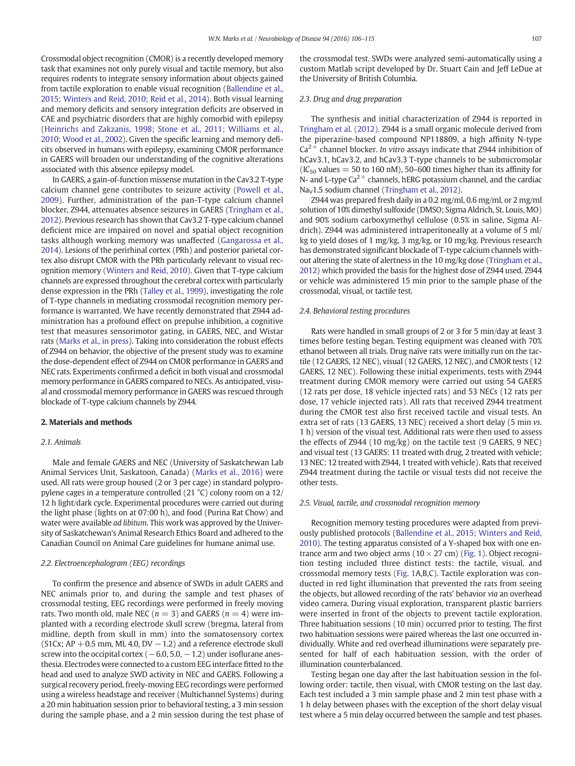Crossmodal object recognition (CMOR) is a recently developed memory task that examines not only purely visual and tactile memory, but also requires rodents to integrate sensory information about objects gained from tactile exploration to enable visual recognition ([Ballendine et al.,](#page-8-0) [2015; Winters and Reid, 2010; Reid et al., 2014\)](#page-8-0). Both visual learning and memory deficits and sensory integration deficits are observed in CAE and psychiatric disorders that are highly comorbid with epilepsy [\(Heinrichs and Zakzanis, 1998; Stone et al., 2011; Williams et al.,](#page-8-0) [2010; Wood et al., 2002\)](#page-8-0). Given the specific learning and memory deficits observed in humans with epilepsy, examining CMOR performance in GAERS will broaden our understanding of the cognitive alterations associated with this absence epilepsy model.

In GAERS, a gain-of-function missense mutation in the Cav3.2 T-type calcium channel gene contributes to seizure activity [\(Powell et al.,](#page-9-0) [2009\)](#page-9-0). Further, administration of the pan-T-type calcium channel blocker, Z944, attenuates absence seizures in GAERS [\(Tringham et al.,](#page-9-0) [2012](#page-9-0)). Previous research has shown that Cav3.2 T-type calcium channel deficient mice are impaired on novel and spatial object recognition tasks although working memory was unaffected ([Gangarossa et al.,](#page-8-0) [2014](#page-8-0)). Lesions of the perirhinal cortex (PRh) and posterior parietal cortex also disrupt CMOR with the PRh particularly relevant to visual recognition memory [\(Winters and Reid, 2010\)](#page-9-0). Given that T-type calcium channels are expressed throughout the cerebral cortex with particularly dense expression in the PRh ([Talley et al., 1999\)](#page-9-0), investigating the role of T-type channels in mediating crossmodal recognition memory performance is warranted. We have recently demonstrated that Z944 administration has a profound effect on prepulse inhibition, a cognitive test that measures sensorimotor gating, in GAERS, NEC, and Wistar rats [\(Marks et al., in press](#page-9-0)). Taking into consideration the robust effects of Z944 on behavior, the objective of the present study was to examine the dose-dependent effect of Z944 on CMOR performance in GAERS and NEC rats. Experiments confirmed a deficit in both visual and crossmodal memory performance in GAERS compared to NECs. As anticipated, visual and crossmodal memory performance in GAERS was rescued through blockade of T-type calcium channels by Z944.

#### 2. Materials and methods

## 2.1. Animals

Male and female GAERS and NEC (University of Saskatchewan Lab Animal Services Unit, Saskatoon, Canada) ([Marks et al., 2016\)](#page-9-0) were used. All rats were group housed (2 or 3 per cage) in standard polypropylene cages in a temperature controlled (21 °C) colony room on a 12/ 12 h light/dark cycle. Experimental procedures were carried out during the light phase (lights on at 07:00 h), and food (Purina Rat Chow) and water were available ad libitum. This work was approved by the University of Saskatchewan's Animal Research Ethics Board and adhered to the Canadian Council on Animal Care guidelines for humane animal use.

# 2.2. Electroencephalogram (EEG) recordings

To confirm the presence and absence of SWDs in adult GAERS and NEC animals prior to, and during the sample and test phases of crossmodal testing, EEG recordings were performed in freely moving rats. Two month old, male NEC ( $n = 3$ ) and GAERS ( $n = 4$ ) were implanted with a recording electrode skull screw (bregma, lateral from midline, depth from skull in mm) into the somatosensory cortex (S1Cx; AP + 0.5 mm, ML 4.0, DV  $-1.2$ ) and a reference electrode skull screw into the occipital cortex  $(-6.0, 5.0, -1.2)$  under isoflurane anesthesia. Electrodes were connected to a custom EEG interface fitted to the head and used to analyze SWD activity in NEC and GAERS. Following a surgical recovery period, freely-moving EEG recordings were performed using a wireless headstage and receiver (Multichannel Systems) during a 20 min habituation session prior to behavioral testing, a 3 min session during the sample phase, and a 2 min session during the test phase of the crossmodal test. SWDs were analyzed semi-automatically using a custom Matlab script developed by Dr. Stuart Cain and Jeff LeDue at the University of British Columbia.

# 2.3. Drug and drug preparation

The synthesis and initial characterization of Z944 is reported in [Tringham et al. \(2012\).](#page-9-0) Z944 is a small organic molecule derived from the piperazine-based compound NP118809, a high affinity N-type  $Ca<sup>2+</sup>$  channel blocker. In vitro assays indicate that Z944 inhibition of hCav3.1, hCav3.2, and hCav3.3 T-type channels to be submicromolar  $(IC_{50}$  values = 50 to 160 nM), 50–600 times higher than its affinity for N- and L-type  $Ca^{2+}$  channels, hERG potassium channel, and the cardiac Na<sub>v</sub>1.5 sodium channel ([Tringham et al., 2012\)](#page-9-0).

Z944 was prepared fresh daily in a 0.2 mg/ml, 0.6 mg/ml, or 2 mg/ml solution of 10% dimethyl sulfoxide (DMSO; Sigma Aldrich, St. Louis, MO) and 90% sodium carboxymethyl cellulose (0.5% in saline, Sigma Aldrich). Z944 was administered intraperitoneally at a volume of 5 ml/ kg to yield doses of 1 mg/kg, 3 mg/kg, or 10 mg/kg. Previous research has demonstrated significant blockade of T-type calcium channels without altering the state of alertness in the 10 mg/kg dose ([Tringham et al.,](#page-9-0) [2012](#page-9-0)) which provided the basis for the highest dose of Z944 used. Z944 or vehicle was administered 15 min prior to the sample phase of the crossmodal, visual, or tactile test.

# 2.4. Behavioral testing procedures

Rats were handled in small groups of 2 or 3 for 5 min/day at least 3 times before testing began. Testing equipment was cleaned with 70% ethanol between all trials. Drug naïve rats were initially run on the tactile (12 GAERS, 12 NEC), visual (12 GAERS, 12 NEC), and CMOR tests (12 GAERS, 12 NEC). Following these initial experiments, tests with Z944 treatment during CMOR memory were carried out using 54 GAERS (12 rats per dose, 18 vehicle injected rats) and 53 NECs (12 rats per dose, 17 vehicle injected rats). All rats that received Z944 treatment during the CMOR test also first received tactile and visual tests. An extra set of rats (13 GAERS, 13 NEC) received a short delay (5 min vs. 1 h) version of the visual test. Additional rats were then used to assess the effects of Z944 (10 mg/kg) on the tactile test (9 GAERS, 9 NEC) and visual test (13 GAERS: 11 treated with drug, 2 treated with vehicle; 13 NEC: 12 treated with Z944, 1 treated with vehicle). Rats that received Z944 treatment during the tactile or visual tests did not receive the other tests.

# 2.5. Visual, tactile, and crossmodal recognition memory

Recognition memory testing procedures were adapted from previously published protocols [\(Ballendine et al., 2015; Winters and Reid,](#page-8-0) [2010](#page-8-0)). The testing apparatus consisted of a Y-shaped box with one entrance arm and two object arms ( $10 \times 27$  cm) ([Fig. 1](#page-2-0)). Object recognition testing included three distinct tests: the tactile, visual, and crossmodal memory tests [\(Fig. 1A](#page-2-0),B,C). Tactile exploration was conducted in red light illumination that prevented the rats from seeing the objects, but allowed recording of the rats' behavior via an overhead video camera. During visual exploration, transparent plastic barriers were inserted in front of the objects to prevent tactile exploration. Three habituation sessions (10 min) occurred prior to testing. The first two habituation sessions were paired whereas the last one occurred individually. White and red overhead illuminations were separately presented for half of each habituation session, with the order of illumination counterbalanced.

Testing began one day after the last habituation session in the following order: tactile, then visual, with CMOR testing on the last day. Each test included a 3 min sample phase and 2 min test phase with a 1 h delay between phases with the exception of the short delay visual test where a 5 min delay occurred between the sample and test phases.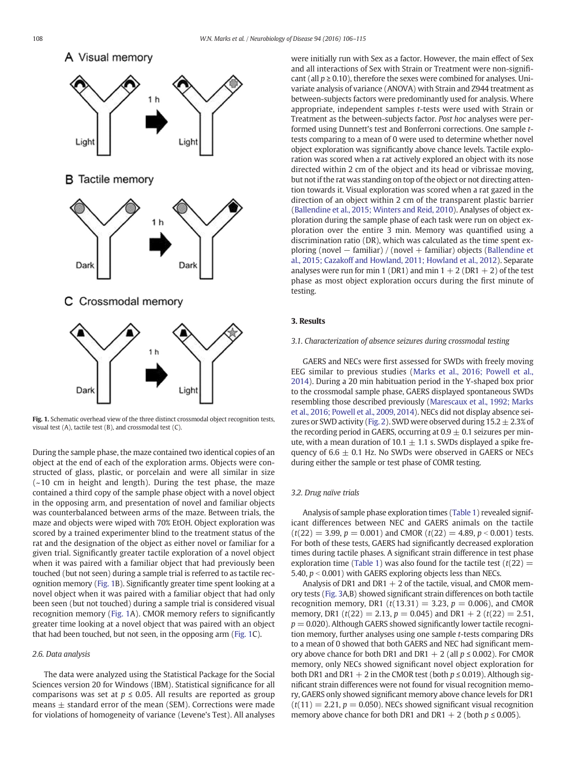<span id="page-2-0"></span>

Fig. 1. Schematic overhead view of the three distinct crossmodal object recognition tests, visual test (A), tactile test (B), and crossmodal test (C).

During the sample phase, the maze contained two identical copies of an object at the end of each of the exploration arms. Objects were constructed of glass, plastic, or porcelain and were all similar in size  $(-10$  cm in height and length). During the test phase, the maze contained a third copy of the sample phase object with a novel object in the opposing arm, and presentation of novel and familiar objects was counterbalanced between arms of the maze. Between trials, the maze and objects were wiped with 70% EtOH. Object exploration was scored by a trained experimenter blind to the treatment status of the rat and the designation of the object as either novel or familiar for a given trial. Significantly greater tactile exploration of a novel object when it was paired with a familiar object that had previously been touched (but not seen) during a sample trial is referred to as tactile recognition memory (Fig. 1B). Significantly greater time spent looking at a novel object when it was paired with a familiar object that had only been seen (but not touched) during a sample trial is considered visual recognition memory (Fig. 1A). CMOR memory refers to significantly greater time looking at a novel object that was paired with an object that had been touched, but not seen, in the opposing arm (Fig. 1C).

# 2.6. Data analysis

The data were analyzed using the Statistical Package for the Social Sciences version 20 for Windows (IBM). Statistical significance for all comparisons was set at  $p \le 0.05$ . All results are reported as group means  $\pm$  standard error of the mean (SEM). Corrections were made for violations of homogeneity of variance (Levene's Test). All analyses were initially run with Sex as a factor. However, the main effect of Sex and all interactions of Sex with Strain or Treatment were non-significant (all  $p \ge 0.10$ ), therefore the sexes were combined for analyses. Univariate analysis of variance (ANOVA) with Strain and Z944 treatment as between-subjects factors were predominantly used for analysis. Where appropriate, independent samples t-tests were used with Strain or Treatment as the between-subjects factor. Post hoc analyses were performed using Dunnett's test and Bonferroni corrections. One sample ttests comparing to a mean of 0 were used to determine whether novel object exploration was significantly above chance levels. Tactile exploration was scored when a rat actively explored an object with its nose directed within 2 cm of the object and its head or vibrissae moving, but not if the rat was standing on top of the object or not directing attention towards it. Visual exploration was scored when a rat gazed in the direction of an object within 2 cm of the transparent plastic barrier [\(Ballendine et al., 2015; Winters and Reid, 2010](#page-8-0)). Analyses of object exploration during the sample phase of each task were run on object exploration over the entire 3 min. Memory was quantified using a discrimination ratio (DR), which was calculated as the time spent exploring (novel − familiar) / (novel + familiar) objects [\(Ballendine et](#page-8-0) [al., 2015; Cazakoff and Howland, 2011; Howland et al., 2012\)](#page-8-0). Separate analyses were run for min 1 (DR1) and min  $1 + 2$  (DR1  $+ 2$ ) of the test phase as most object exploration occurs during the first minute of testing.

# 3. Results

# 3.1. Characterization of absence seizures during crossmodal testing

GAERS and NECs were first assessed for SWDs with freely moving EEG similar to previous studies [\(Marks et al., 2016; Powell et al.,](#page-9-0) [2014\)](#page-9-0). During a 20 min habituation period in the Y-shaped box prior to the crossmodal sample phase, GAERS displayed spontaneous SWDs resembling those described previously ([Marescaux et al., 1992; Marks](#page-9-0) [et al., 2016; Powell et al., 2009, 2014](#page-9-0)). NECs did not display absence sei-zures or SWD activity [\(Fig. 2](#page-3-0)). SWD were observed during  $15.2 \pm 2.3\%$  of the recording period in GAERS, occurring at  $0.9 \pm 0.1$  seizures per minute, with a mean duration of 10.1  $\pm$  1.1 s. SWDs displayed a spike frequency of  $6.6 \pm 0.1$  Hz. No SWDs were observed in GAERS or NECs during either the sample or test phase of COMR testing.

# 3.2. Drug naïve trials

Analysis of sample phase exploration times ([Table 1\)](#page-3-0) revealed significant differences between NEC and GAERS animals on the tactile  $(t(22) = 3.99, p = 0.001)$  and CMOR  $(t(22) = 4.89, p < 0.001)$  tests. For both of these tests, GAERS had significantly decreased exploration times during tactile phases. A significant strain difference in test phase exploration time [\(Table 1](#page-3-0)) was also found for the tactile test ( $t(22)$  = 5.40,  $p < 0.001$ ) with GAERS exploring objects less than NECs.

Analysis of DR1 and DR1  $+$  2 of the tactile, visual, and CMOR memory tests ([Fig. 3](#page-4-0)A,B) showed significant strain differences on both tactile recognition memory, DR1 ( $t(13.31) = 3.23$ ,  $p = 0.006$ ), and CMOR memory, DR1 ( $t(22) = 2.13$ ,  $p = 0.045$ ) and DR1 + 2 ( $t(22) = 2.51$ ,  $p = 0.020$ ). Although GAERS showed significantly lower tactile recognition memory, further analyses using one sample t-tests comparing DRs to a mean of 0 showed that both GAERS and NEC had significant memory above chance for both DR1 and DR1  $+$  2 (all  $p \le 0.002$ ). For CMOR memory, only NECs showed significant novel object exploration for both DR1 and DR1 + 2 in the CMOR test (both  $p \le 0.019$ ). Although significant strain differences were not found for visual recognition memory, GAERS only showed significant memory above chance levels for DR1  $(t(11) = 2.21, p = 0.050)$ . NECs showed significant visual recognition memory above chance for both DR1 and DR1 + 2 (both  $p \le 0.005$ ).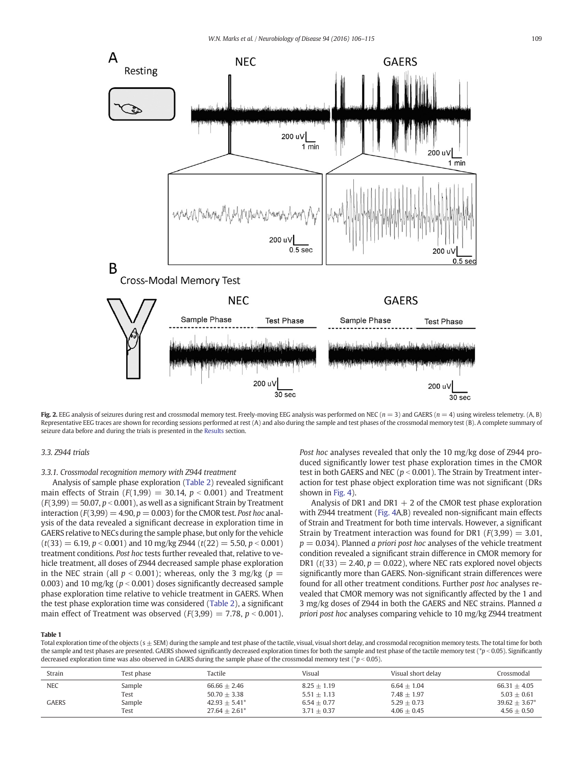<span id="page-3-0"></span>

Fig. 2. EEG analysis of seizures during rest and crossmodal memory test. Freely-moving EEG analysis was performed on NEC ( $n = 3$ ) and GAERS ( $n = 4$ ) using wireless telemetry. (A, B) Representative EEG traces are shown for recording sessions performed at rest (A) and also during the sample and test phases of the crossmodal memory test (B). A complete summary of seizure data before and during the trials is presented in the [Results](#page-2-0) section.

# 3.3. Z944 trials

# 3.3.1. Crossmodal recognition memory with Z944 treatment

Analysis of sample phase exploration ([Table 2](#page-4-0)) revealed significant main effects of Strain ( $F(1,99) = 30.14$ ,  $p < 0.001$ ) and Treatment  $(F(3,99) = 50.07, p < 0.001)$ , as well as a significant Strain by Treatment interaction ( $F(3,99) = 4.90$ ,  $p = 0.003$ ) for the CMOR test. Post hoc analysis of the data revealed a significant decrease in exploration time in GAERS relative to NECs during the sample phase, but only for the vehicle  $(t(33) = 6.19, p < 0.001)$  and 10 mg/kg Z944  $(t(22) = 5.50, p < 0.001)$ treatment conditions. Post hoc tests further revealed that, relative to vehicle treatment, all doses of Z944 decreased sample phase exploration in the NEC strain (all  $p < 0.001$ ); whereas, only the 3 mg/kg ( $p =$ 0.003) and 10 mg/kg ( $p < 0.001$ ) doses significantly decreased sample phase exploration time relative to vehicle treatment in GAERS. When the test phase exploration time was considered [\(Table 2](#page-4-0)), a significant main effect of Treatment was observed  $(F(3,99) = 7.78, p < 0.001)$ . Post hoc analyses revealed that only the 10 mg/kg dose of Z944 produced significantly lower test phase exploration times in the CMOR test in both GAERS and NEC ( $p < 0.001$ ). The Strain by Treatment interaction for test phase object exploration time was not significant (DRs shown in [Fig. 4](#page-5-0)).

Analysis of DR1 and DR1  $+$  2 of the CMOR test phase exploration with Z944 treatment [\(Fig. 4A](#page-5-0),B) revealed non-significant main effects of Strain and Treatment for both time intervals. However, a significant Strain by Treatment interaction was found for DR1 ( $F(3,99) = 3.01$ ,  $p = 0.034$ ). Planned *a priori post hoc* analyses of the vehicle treatment condition revealed a significant strain difference in CMOR memory for DR1 ( $t(33) = 2.40$ ,  $p = 0.022$ ), where NEC rats explored novel objects significantly more than GAERS. Non-significant strain differences were found for all other treatment conditions. Further post hoc analyses revealed that CMOR memory was not significantly affected by the 1 and 3 mg/kg doses of Z944 in both the GAERS and NEC strains. Planned a priori post hoc analyses comparing vehicle to 10 mg/kg Z944 treatment

#### Table 1

Total exploration time of the objects ( $s \pm$  SEM) during the sample and test phase of the tactile, visual, visual short delay, and crossmodal recognition memory tests. The total time for both the sample and test phases are presented. GAERS showed significantly decreased exploration times for both the sample and test phase of the tactile memory test (\*p < 0.05). Significantly decreased exploration time was also observed in GAERS during the sample phase of the crossmodal memory test ( $p < 0.05$ ).

| Strain       | Test phase | Tactile          | Visual        | Visual short delay | Crossmodal      |
|--------------|------------|------------------|---------------|--------------------|-----------------|
| <b>NEC</b>   | Sample     | $66.66 + 2.46$   | $8.25 + 1.19$ | $6.64 + 1.04$      | $66.31 + 4.05$  |
|              | Test       | $50.70 + 3.38$   | $5.51 + 1.13$ | $7.48 \pm 1.97$    | $5.03 + 0.61$   |
| <b>GAERS</b> | Sample     | $42.93 + 5.41^*$ | $6.54 + 0.77$ | $5.29 + 0.73$      | $39.62 + 3.67*$ |
|              | Test       | $27.64 + 2.61^*$ | $3.71 + 0.37$ | $4.06 + 0.45$      | $4.56 + 0.50$   |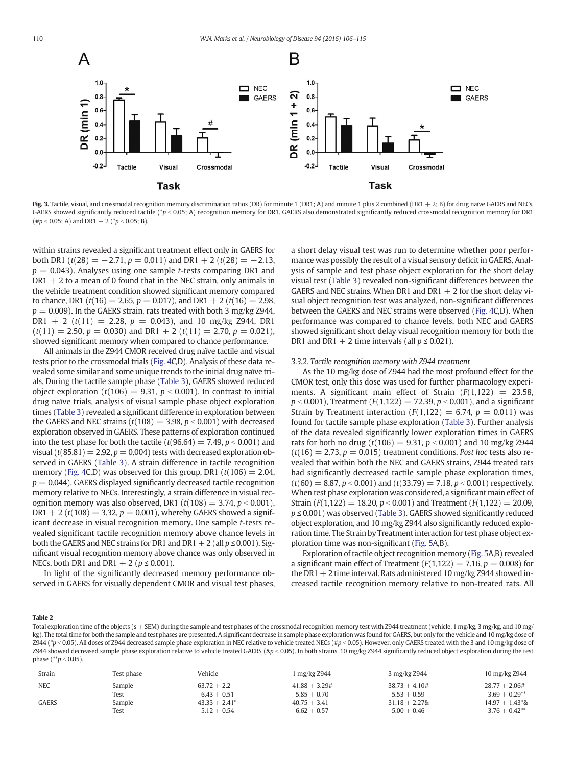<span id="page-4-0"></span>

Fig. 3. Tactile, visual, and crossmodal recognition memory discrimination ratios (DR) for minute 1 (DR1; A) and minute 1 plus 2 combined (DR1 + 2; B) for drug naïve GAERS and NECs. GAERS showed significantly reduced tactile (\*p < 0.05; A) recognition memory for DR1. GAERS also demonstrated significantly reduced crossmodal recognition memory for DR1  $(\#p < 0.05; A)$  and DR1 + 2 (\*p < 0.05; B).

within strains revealed a significant treatment effect only in GAERS for both DR1 ( $t(28) = -2.71$ ,  $p = 0.011$ ) and DR1 + 2 ( $t(28) = -2.13$ ,  $p = 0.043$ ). Analyses using one sample *t*-tests comparing DR1 and  $DR1 + 2$  to a mean of 0 found that in the NEC strain, only animals in the vehicle treatment condition showed significant memory compared to chance, DR1 ( $t(16) = 2.65$ ,  $p = 0.017$ ), and DR1 + 2 ( $t(16) = 2.98$ ,  $p = 0.009$ ). In the GAERS strain, rats treated with both 3 mg/kg Z944, DR1 + 2 ( $t(11)$  = 2.28,  $p$  = 0.043), and 10 mg/kg Z944, DR1  $(t(11) = 2.50, p = 0.030)$  and DR1 + 2  $(t(11) = 2.70, p = 0.021)$ , showed significant memory when compared to chance performance.

All animals in the Z944 CMOR received drug naïve tactile and visual tests prior to the crossmodal trials [\(Fig. 4C](#page-5-0),D). Analysis of these data revealed some similar and some unique trends to the initial drug naïve trials. During the tactile sample phase [\(Table 3](#page-5-0)), GAERS showed reduced object exploration  $(t(106) = 9.31, p < 0.001)$ . In contrast to initial drug naïve trials, analysis of visual sample phase object exploration times ([Table 3\)](#page-5-0) revealed a significant difference in exploration between the GAERS and NEC strains ( $t(108) = 3.98$ ,  $p < 0.001$ ) with decreased exploration observed in GAERS. These patterns of exploration continued into the test phase for both the tactile ( $t(96.64) = 7.49$ ,  $p < 0.001$ ) and visual ( $t(85.81) = 2.92$ ,  $p = 0.004$ ) tests with decreased exploration observed in GAERS [\(Table 3](#page-5-0)). A strain difference in tactile recognition memory [\(Fig. 4](#page-5-0)C,D) was observed for this group, DR1 ( $t(106) = 2.04$ ,  $p = 0.044$ ). GAERS displayed significantly decreased tactile recognition memory relative to NECs. Interestingly, a strain difference in visual recognition memory was also observed, DR1 ( $t(108) = 3.74$ ,  $p < 0.001$ ),  $DR1 + 2$  (t(108) = 3.32,  $p = 0.001$ ), whereby GAERS showed a significant decrease in visual recognition memory. One sample t-tests revealed significant tactile recognition memory above chance levels in both the GAERS and NEC strains for DR1 and DR1 + 2 (all  $p \le 0.001$ ). Significant visual recognition memory above chance was only observed in NECs, both DR1 and DR1 + 2 ( $p \le 0.001$ ).

In light of the significantly decreased memory performance observed in GAERS for visually dependent CMOR and visual test phases, a short delay visual test was run to determine whether poor performance was possibly the result of a visual sensory deficit in GAERS. Analysis of sample and test phase object exploration for the short delay visual test [\(Table 3](#page-5-0)) revealed non-significant differences between the GAERS and NEC strains. When DR1 and DR1  $+$  2 for the short delay visual object recognition test was analyzed, non-significant differences between the GAERS and NEC strains were observed ([Fig. 4](#page-5-0)C,D). When performance was compared to chance levels, both NEC and GAERS showed significant short delay visual recognition memory for both the DR1 and DR1 + 2 time intervals (all  $p \le 0.021$ ).

# 3.3.2. Tactile recognition memory with Z944 treatment

As the 10 mg/kg dose of Z944 had the most profound effect for the CMOR test, only this dose was used for further pharmacology experiments. A significant main effect of Strain  $(F(1,122) = 23.58,$  $p < 0.001$ ), Treatment ( $F(1,122) = 72.39$ ,  $p < 0.001$ ), and a significant Strain by Treatment interaction  $(F(1,122) = 6.74, p = 0.011)$  was found for tactile sample phase exploration [\(Table 3](#page-5-0)). Further analysis of the data revealed significantly lower exploration times in GAERS rats for both no drug ( $t(106) = 9.31$ ,  $p < 0.001$ ) and 10 mg/kg Z944  $(t(16) = 2.73, p = 0.015)$  treatment conditions. Post hoc tests also revealed that within both the NEC and GAERS strains, Z944 treated rats had significantly decreased tactile sample phase exploration times,  $(t(60) = 8.87, p < 0.001)$  and  $(t(33.79) = 7.18, p < 0.001)$  respectively. When test phase exploration was considered, a significant main effect of Strain ( $F(1,122) = 18.20, p < 0.001$ ) and Treatment ( $F(1,122) = 20.09$ , p ≤ 0.001) was observed ([Table 3](#page-5-0)). GAERS showed significantly reduced object exploration, and 10 mg/kg Z944 also significantly reduced exploration time. The Strain by Treatment interaction for test phase object exploration time was non-significant [\(Fig. 5A](#page-6-0),B).

Exploration of tactile object recognition memory [\(Fig. 5](#page-6-0)A,B) revealed a significant main effect of Treatment ( $F(1,122) = 7.16$ ,  $p = 0.008$ ) for the DR1  $+$  2 time interval. Rats administered 10 mg/kg Z944 showed increased tactile recognition memory relative to non-treated rats. All

# Table 2

Total exploration time of the objects (s ± SEM) during the sample and test phases of the crossmodal recognition memory test with Z944 treatment (vehicle, 1 mg/kg, 3 mg/kg, and 10 mg/ kg). The total time for both the sample and test phases are presented. A significant decrease in sample phase exploration was found for GAERS, but only for the vehicle and 10 mg/kg dose of Z944 (\*p < 0.05). All doses of Z944 decreased sample phase exploration in NEC relative to vehicle treated NECs (#p < 0.05). However, only GAERS treated with the 3 and 10 mg/kg dose of Z944 showed decreased sample phase exploration relative to vehicle treated GAERS (&p < 0.05). In both strains, 10 mg/kg Z944 significantly reduced object exploration during the test phase  $(*p < 0.05)$ .

| Strain     | Test phase | Vehicle          | 1 mg/kg Z944    | 3 mg/kg Z944    | 10 mg/kg Z944     |
|------------|------------|------------------|-----------------|-----------------|-------------------|
| <b>NEC</b> | Sample     | $63.72 + 2.2$    | $41.88 + 3.29#$ | $38.73 + 4.10#$ | $28.77 + 2.06 \#$ |
|            | Test       | $6.43 + 0.51$    | $5.85 + 0.70$   | $5.53 + 0.59$   | $3.69 + 0.29$ **  |
| GAERS      | Sample     | $43.33 + 2.41^*$ | $40.75 + 3.41$  | $31.18 + 2.278$ | $14.97 + 1.43*$   |
|            | Test       | $5.12 + 0.54$    | $6.62 + 0.57$   | $5.00 + 0.46$   | $3.76 + 0.42$ **  |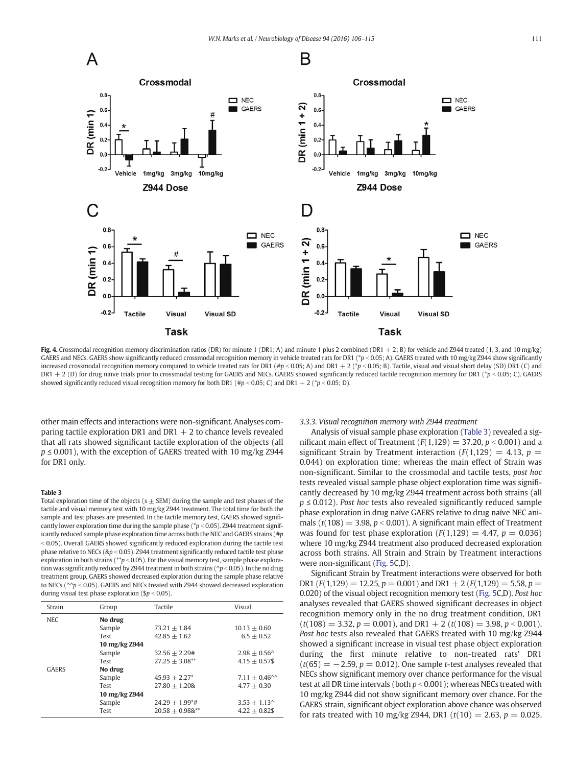<span id="page-5-0"></span>

Fig. 4. Crossmodal recognition memory discrimination ratios (DR) for minute 1 (DR1; A) and minute 1 plus 2 combined (DR1 + 2; B) for vehicle and Z944 treated (1, 3, and 10 mg/kg) GAERS and NECs. GAERS show significantly reduced crossmodal recognition memory in vehicle treated rats for DR1 (\*p < 0.05; A). GAERS treated with 10 mg/kg Z944 show significantly increased crossmodal recognition memory compared to vehicle treated rats for DR1 (#p < 0.05; A) and DR1 + 2 (\*p < 0.05; B). Tactile, visual and visual short delay (SD) DR1 (C) and DR1 + 2 (D) for drug naïve trials prior to crossmodal testing for GAERS and NECs. GAERS showed significantly reduced tactile recognition memory for DR1 (\*p < 0.05; C). GAERS showed significantly reduced visual recognition memory for both DR1 (#p < 0.05; C) and DR1 + 2 (\*p < 0.05; D).

other main effects and interactions were non-significant. Analyses comparing tactile exploration DR1 and DR1  $+$  2 to chance levels revealed that all rats showed significant tactile exploration of the objects (all  $p \le 0.001$ ), with the exception of GAERS treated with 10 mg/kg Z944 for DR1 only.

# Table 3

Total exploration time of the objects  $(s + SEM)$  during the sample and test phases of the tactile and visual memory test with 10 mg/kg Z944 treatment. The total time for both the sample and test phases are presented. In the tactile memory test, GAERS showed significantly lower exploration time during the sample phase ( $p < 0.05$ ). Z944 treatment significantly reduced sample phase exploration time across both the NEC and GAERS strains (#p  $\leq$  0.05). Overall GAERS showed significantly reduced exploration during the tactile test phase relative to NECs ( $\&p < 0.05$ ). Z944 treatment significantly reduced tactile test phase exploration in both strains (\*\*p < 0.05). For the visual memory test, sample phase exploration was significantly reduced by Z944 treatment in both strains ( $\gamma p < 0.05$ ). In the no drug treatment group, GAERS showed decreased exploration during the sample phase relative to NECs ( $\sim p$  < 0.05). GAERS and NECs treated with Z944 showed decreased exploration during visual test phase exploration ( $\gamma > 0.05$ ).

| Strain       | Group         | Tactile            | Visual                     |  |  |  |
|--------------|---------------|--------------------|----------------------------|--|--|--|
| <b>NEC</b>   | No drug       |                    |                            |  |  |  |
|              | Sample        | $73.21 + 1.84$     | $10.13 + 0.60$             |  |  |  |
|              | Test          | $42.85 + 1.62$     | $6.5 + 0.52$               |  |  |  |
|              | 10 mg/kg Z944 |                    |                            |  |  |  |
|              | Sample        | $32.56 + 2.29#$    | $2.98 + 0.56^{\circ}$      |  |  |  |
|              | Test          | $27.25 + 3.08***$  | $4.15 + 0.57$ \$           |  |  |  |
| <b>GAERS</b> | No drug       |                    |                            |  |  |  |
|              | Sample        | $45.93 \pm 2.27^*$ | $7.11 + 0.46^{\circ\circ}$ |  |  |  |
|              | Test          | $27.80 \pm 1.208$  | $4.77 + 0.30$              |  |  |  |
|              | 10 mg/kg Z944 |                    |                            |  |  |  |
|              | Sample        | $24.29 + 1.99^*$ # | $3.53 + 1.13^{\circ}$      |  |  |  |
|              | Test          | $20.58 + 0.988$ ** | $4.22 \pm 0.82$ \$         |  |  |  |

## 3.3.3. Visual recognition memory with Z944 treatment

Analysis of visual sample phase exploration (Table 3) revealed a significant main effect of Treatment ( $F(1,129) = 37.20, p < 0.001$ ) and a significant Strain by Treatment interaction ( $F(1,129) = 4.13$ ,  $p =$ 0.044) on exploration time; whereas the main effect of Strain was non-significant. Similar to the crossmodal and tactile tests, post hoc tests revealed visual sample phase object exploration time was significantly decreased by 10 mg/kg Z944 treatment across both strains (all  $p \leq 0.012$ ). Post hoc tests also revealed significantly reduced sample phase exploration in drug naïve GAERS relative to drug naïve NEC animals ( $t(108) = 3.98$ ,  $p < 0.001$ ). A significant main effect of Treatment was found for test phase exploration  $(F(1,129) = 4.47, p = 0.036)$ where 10 mg/kg Z944 treatment also produced decreased exploration across both strains. All Strain and Strain by Treatment interactions were non-significant ([Fig. 5](#page-6-0)C,D).

Significant Strain by Treatment interactions were observed for both DR1 ( $F(1,129) = 12.25$ ,  $p = 0.001$ ) and DR1 + 2 ( $F(1,129) = 5.58$ ,  $p =$ 0.020) of the visual object recognition memory test [\(Fig. 5C](#page-6-0),D). Post hoc analyses revealed that GAERS showed significant decreases in object recognition memory only in the no drug treatment condition, DR1  $(t(108) = 3.32, p = 0.001)$ , and DR1 + 2  $(t(108) = 3.98, p < 0.001)$ . Post hoc tests also revealed that GAERS treated with 10 mg/kg Z944 showed a significant increase in visual test phase object exploration during the first minute relative to non-treated rats' DR1  $(t(65) = -2.59, p = 0.012)$ . One sample t-test analyses revealed that NECs show significant memory over chance performance for the visual test at all DR time intervals (both  $p < 0.001$ ); whereas NECs treated with 10 mg/kg Z944 did not show significant memory over chance. For the GAERS strain, significant object exploration above chance was observed for rats treated with 10 mg/kg Z944, DR1 ( $t(10) = 2.63$ ,  $p = 0.025$ .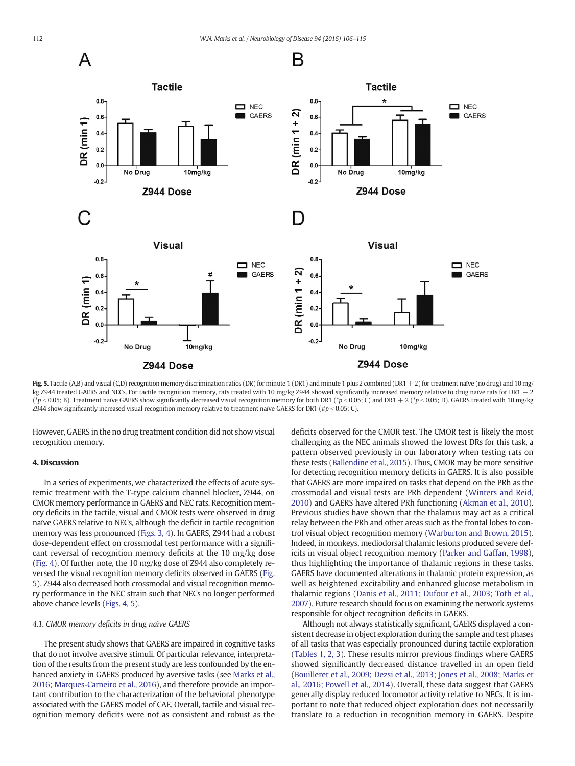<span id="page-6-0"></span>

Fig. 5. Tactile (A,B) and visual (C,D) recognition memory discrimination ratios (DR) for minute 1 (DR1) and minute 1 plus 2 combined (DR1 + 2) for treatment naïve (no drug) and 10 mg/ kg Z944 treated GAERS and NECs. For tactile recognition memory, rats treated with 10 mg/kg Z944 showed significantly increased memory relative to drug naïve rats for DR1 + 2 (\*p < 0.05; B). Treatment naïve GAERS show significantly decreased visual recognition memory for both DR1 (\*p < 0.05; C) and DR1 + 2 (\*p < 0.05; D). GAERS treated with 10 mg/kg Z944 show significantly increased visual recognition memory relative to treatment naïve GAERS for DR1 (# $p < 0.05$ ; C).

However, GAERS in the no drug treatment condition did not show visual recognition memory.

# 4. Discussion

In a series of experiments, we characterized the effects of acute systemic treatment with the T-type calcium channel blocker, Z944, on CMOR memory performance in GAERS and NEC rats. Recognition memory deficits in the tactile, visual and CMOR tests were observed in drug naïve GAERS relative to NECs, although the deficit in tactile recognition memory was less pronounced [\(Figs. 3, 4](#page-4-0)). In GAERS, Z944 had a robust dose-dependent effect on crossmodal test performance with a significant reversal of recognition memory deficits at the 10 mg/kg dose [\(Fig. 4\)](#page-5-0). Of further note, the 10 mg/kg dose of Z944 also completely reversed the visual recognition memory deficits observed in GAERS (Fig. 5). Z944 also decreased both crossmodal and visual recognition memory performance in the NEC strain such that NECs no longer performed above chance levels [\(Figs. 4, 5\)](#page-5-0).

# 4.1. CMOR memory deficits in drug naïve GAERS

The present study shows that GAERS are impaired in cognitive tasks that do not involve aversive stimuli. Of particular relevance, interpretation of the results from the present study are less confounded by the enhanced anxiety in GAERS produced by aversive tasks (see [Marks et al.,](#page-9-0) [2016; Marques-Carneiro et al., 2016\)](#page-9-0), and therefore provide an important contribution to the characterization of the behavioral phenotype associated with the GAERS model of CAE. Overall, tactile and visual recognition memory deficits were not as consistent and robust as the deficits observed for the CMOR test. The CMOR test is likely the most challenging as the NEC animals showed the lowest DRs for this task, a pattern observed previously in our laboratory when testing rats on these tests [\(Ballendine et al., 2015\)](#page-8-0). Thus, CMOR may be more sensitive for detecting recognition memory deficits in GAERS. It is also possible that GAERS are more impaired on tasks that depend on the PRh as the crossmodal and visual tests are PRh dependent ([Winters and Reid,](#page-9-0) [2010\)](#page-9-0) and GAERS have altered PRh functioning ([Akman et al., 2010](#page-8-0)). Previous studies have shown that the thalamus may act as a critical relay between the PRh and other areas such as the frontal lobes to control visual object recognition memory ([Warburton and Brown, 2015](#page-9-0)). Indeed, in monkeys, mediodorsal thalamic lesions produced severe deficits in visual object recognition memory ([Parker and Gaffan, 1998](#page-9-0)), thus highlighting the importance of thalamic regions in these tasks. GAERS have documented alterations in thalamic protein expression, as well as heightened excitability and enhanced glucose metabolism in thalamic regions ([Danis et al., 2011; Dufour et al., 2003; Toth et al.,](#page-8-0) [2007\)](#page-8-0). Future research should focus on examining the network systems responsible for object recognition deficits in GAERS.

Although not always statistically significant, GAERS displayed a consistent decrease in object exploration during the sample and test phases of all tasks that was especially pronounced during tactile exploration [\(Tables 1, 2, 3\)](#page-3-0). These results mirror previous findings where GAERS showed significantly decreased distance travelled in an open field [\(Bouilleret et al., 2009; Dezsi et al., 2013; Jones et al., 2008; Marks et](#page-8-0) [al., 2016; Powell et al., 2014](#page-8-0)). Overall, these data suggest that GAERS generally display reduced locomotor activity relative to NECs. It is important to note that reduced object exploration does not necessarily translate to a reduction in recognition memory in GAERS. Despite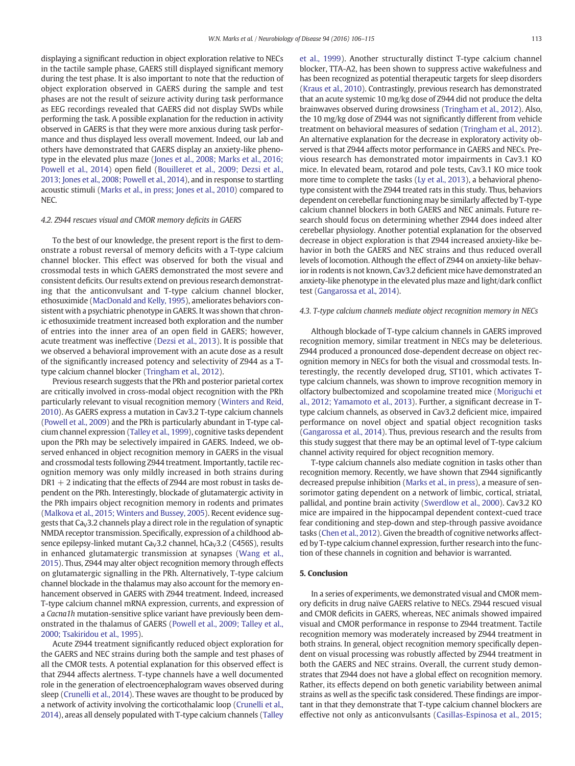displaying a significant reduction in object exploration relative to NECs in the tactile sample phase, GAERS still displayed significant memory during the test phase. It is also important to note that the reduction of object exploration observed in GAERS during the sample and test phases are not the result of seizure activity during task performance as EEG recordings revealed that GAERS did not display SWDs while performing the task. A possible explanation for the reduction in activity observed in GAERS is that they were more anxious during task performance and thus displayed less overall movement. Indeed, our lab and others have demonstrated that GAERS display an anxiety-like phenotype in the elevated plus maze ([Jones et al., 2008; Marks et al., 2016;](#page-8-0) [Powell et al., 2014](#page-8-0)) open field ([Bouilleret et al., 2009; Dezsi et al.,](#page-8-0) [2013; Jones et al., 2008; Powell et al., 2014](#page-8-0)), and in response to startling acoustic stimuli [\(Marks et al., in press; Jones et al., 2010\)](#page-9-0) compared to NEC.

# 4.2. Z944 rescues visual and CMOR memory deficits in GAERS

To the best of our knowledge, the present report is the first to demonstrate a robust reversal of memory deficits with a T-type calcium channel blocker. This effect was observed for both the visual and crossmodal tests in which GAERS demonstrated the most severe and consistent deficits. Our results extend on previous research demonstrating that the anticonvulsant and T-type calcium channel blocker, ethosuximide [\(MacDonald and Kelly, 1995\)](#page-8-0), ameliorates behaviors consistent with a psychiatric phenotype in GAERS. It was shown that chronic ethosuximide treatment increased both exploration and the number of entries into the inner area of an open field in GAERS; however, acute treatment was ineffective ([Dezsi et al., 2013](#page-8-0)). It is possible that we observed a behavioral improvement with an acute dose as a result of the significantly increased potency and selectivity of Z944 as a Ttype calcium channel blocker ([Tringham et al., 2012\)](#page-9-0).

Previous research suggests that the PRh and posterior parietal cortex are critically involved in cross-modal object recognition with the PRh particularly relevant to visual recognition memory [\(Winters and Reid,](#page-9-0) [2010](#page-9-0)). As GAERS express a mutation in Cav3.2 T-type calcium channels [\(Powell et al., 2009](#page-9-0)) and the PRh is particularly abundant in T-type calcium channel expression ([Talley et al., 1999\)](#page-9-0), cognitive tasks dependent upon the PRh may be selectively impaired in GAERS. Indeed, we observed enhanced in object recognition memory in GAERS in the visual and crossmodal tests following Z944 treatment. Importantly, tactile recognition memory was only mildly increased in both strains during  $DR1 + 2$  indicating that the effects of Z944 are most robust in tasks dependent on the PRh. Interestingly, blockade of glutamatergic activity in the PRh impairs object recognition memory in rodents and primates [\(Malkova et al., 2015; Winters and Bussey, 2005\)](#page-8-0). Recent evidence suggests that  $Ca<sub>v</sub>3.2$  channels play a direct role in the regulation of synaptic NMDA receptor transmission. Specifically, expression of a childhood absence epilepsy-linked mutant  $Ca<sub>V</sub>3.2$  channel, hCa<sub>V</sub>3.2 (C456S), results in enhanced glutamatergic transmission at synapses ([Wang et al.,](#page-9-0) [2015](#page-9-0)). Thus, Z944 may alter object recognition memory through effects on glutamatergic signalling in the PRh. Alternatively, T-type calcium channel blockade in the thalamus may also account for the memory enhancement observed in GAERS with Z944 treatment. Indeed, increased T-type calcium channel mRNA expression, currents, and expression of a Cacna1h mutation-sensitive splice variant have previously been demonstrated in the thalamus of GAERS ([Powell et al., 2009; Talley et al.,](#page-9-0) [2000; Tsakiridou et al., 1995\)](#page-9-0).

Acute Z944 treatment significantly reduced object exploration for the GAERS and NEC strains during both the sample and test phases of all the CMOR tests. A potential explanation for this observed effect is that Z944 affects alertness. T-type channels have a well documented role in the generation of electroencephalogram waves observed during sleep [\(Crunelli et al., 2014\)](#page-8-0). These waves are thought to be produced by a network of activity involving the corticothalamic loop [\(Crunelli et al.,](#page-8-0) [2014](#page-8-0)), areas all densely populated with T-type calcium channels ([Talley](#page-9-0)

[et al., 1999](#page-9-0)). Another structurally distinct T-type calcium channel blocker, TTA-A2, has been shown to suppress active wakefulness and has been recognized as potential therapeutic targets for sleep disorders [\(Kraus et al., 2010\)](#page-8-0). Contrastingly, previous research has demonstrated that an acute systemic 10 mg/kg dose of Z944 did not produce the delta brainwaves observed during drowsiness ([Tringham et al., 2012](#page-9-0)). Also, the 10 mg/kg dose of Z944 was not significantly different from vehicle treatment on behavioral measures of sedation ([Tringham et al., 2012](#page-9-0)). An alternative explanation for the decrease in exploratory activity observed is that Z944 affects motor performance in GAERS and NECs. Previous research has demonstrated motor impairments in Cav3.1 KO mice. In elevated beam, rotarod and pole tests, Cav3.1 KO mice took more time to complete the tasks ([Ly et al., 2013](#page-8-0)), a behavioral phenotype consistent with the Z944 treated rats in this study. Thus, behaviors dependent on cerebellar functioning may be similarly affected by T-type calcium channel blockers in both GAERS and NEC animals. Future research should focus on determining whether Z944 does indeed alter cerebellar physiology. Another potential explanation for the observed decrease in object exploration is that Z944 increased anxiety-like behavior in both the GAERS and NEC strains and thus reduced overall levels of locomotion. Although the effect of Z944 on anxiety-like behavior in rodents is not known, Cav3.2 deficient mice have demonstrated an anxiety-like phenotype in the elevated plus maze and light/dark conflict test [\(Gangarossa et al., 2014](#page-8-0)).

## 4.3. T-type calcium channels mediate object recognition memory in NECs

Although blockade of T-type calcium channels in GAERS improved recognition memory, similar treatment in NECs may be deleterious. Z944 produced a pronounced dose-dependent decrease on object recognition memory in NECs for both the visual and crossmodal tests. Interestingly, the recently developed drug, ST101, which activates Ttype calcium channels, was shown to improve recognition memory in olfactory bulbectomized and scopolamine treated mice [\(Moriguchi et](#page-9-0) [al., 2012; Yamamoto et al., 2013\)](#page-9-0). Further, a significant decrease in Ttype calcium channels, as observed in Cav3.2 deficient mice, impaired performance on novel object and spatial object recognition tasks [\(Gangarossa et al., 2014\)](#page-8-0). Thus, previous research and the results from this study suggest that there may be an optimal level of T-type calcium channel activity required for object recognition memory.

T-type calcium channels also mediate cognition in tasks other than recognition memory. Recently, we have shown that Z944 significantly decreased prepulse inhibition [\(Marks et al., in press](#page-9-0)), a measure of sensorimotor gating dependent on a network of limbic, cortical, striatal, pallidal, and pontine brain activity ([Swerdlow et al., 2000](#page-9-0)). Cav3.2 KO mice are impaired in the hippocampal dependent context-cued trace fear conditioning and step-down and step-through passive avoidance tasks [\(Chen et al., 2012](#page-8-0)). Given the breadth of cognitive networks affected by T-type calcium channel expression, further research into the function of these channels in cognition and behavior is warranted.

# 5. Conclusion

In a series of experiments, we demonstrated visual and CMOR memory deficits in drug naïve GAERS relative to NECs. Z944 rescued visual and CMOR deficits in GAERS, whereas, NEC animals showed impaired visual and CMOR performance in response to Z944 treatment. Tactile recognition memory was moderately increased by Z944 treatment in both strains. In general, object recognition memory specifically dependent on visual processing was robustly affected by Z944 treatment in both the GAERS and NEC strains. Overall, the current study demonstrates that Z944 does not have a global effect on recognition memory. Rather, its effects depend on both genetic variability between animal strains as well as the specific task considered. These findings are important in that they demonstrate that T-type calcium channel blockers are effective not only as anticonvulsants [\(Casillas-Espinosa et al., 2015;](#page-8-0)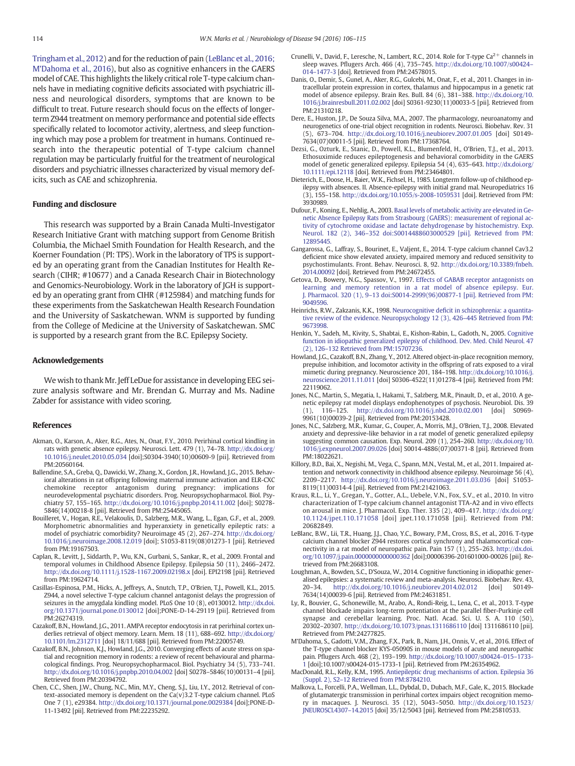<span id="page-8-0"></span>Tringham et al., 2012) and for the reduction of pain (LeBlanc et al., 2016; M'Dahoma et al., 2016), but also as cognitive enhancers in the GAERS model of CAE. This highlights the likely critical role T-type calcium channels have in mediating cognitive deficits associated with psychiatric illness and neurological disorders, symptoms that are known to be difficult to treat. Future research should focus on the effects of longerterm Z944 treatment on memory performance and potential side effects specifically related to locomotor activity, alertness, and sleep functioning which may pose a problem for treatment in humans. Continued research into the therapeutic potential of T-type calcium channel regulation may be particularly fruitful for the treatment of neurological disorders and psychiatric illnesses characterized by visual memory deficits, such as CAE and schizophrenia.

# Funding and disclosure

This research was supported by a Brain Canada Multi-Investigator Research Initiative Grant with matching support from Genome British Columbia, the Michael Smith Foundation for Health Research, and the Koerner Foundation (PI: TPS). Work in the laboratory of TPS is supported by an operating grant from the Canadian Institutes for Health Research (CIHR; #10677) and a Canada Research Chair in Biotechnology and Genomics-Neurobiology. Work in the laboratory of JGH is supported by an operating grant from CIHR (#125984) and matching funds for these experiments from the Saskatchewan Health Research Foundation and the University of Saskatchewan. WNM is supported by funding from the College of Medicine at the University of Saskatchewan. SMC is supported by a research grant from the B.C. Epilepsy Society.

# Acknowledgements

We wish to thank Mr. Jeff LeDue for assistance in developing EEG seizure analysis software and Mr. Brendan G. Murray and Ms. Nadine Zabder for assistance with video scoring.

#### References

- Akman, O., Karson, A., Aker, R.G., Ates, N., Onat, F.Y., 2010. Perirhinal cortical kindling in rats with genetic absence epilepsy. Neurosci. Lett. 479 (1), 74–78. http://dx.doi.org/ [10.1016/j.neulet.2010.05.034](http://dx.doi.org/10.1016/j.neulet.2010.05.034) [doi];S0304-3940(10)00609-9 [pii]. Retrieved from PM:20560164.
- Ballendine, S.A., Greba, Q., Dawicki, W., Zhang, X., Gordon, J.R., Howland, J.G., 2015. Behavioral alterations in rat offspring following maternal immune activation and ELR-CXC chemokine receptor antagonism during pregnancy: implications for neurodevelopmental psychiatric disorders. Prog. Neuropsychopharmacol. Biol. Psychiatry 57, 155–165. http://dx.doi.org/[10.1016/j.pnpbp.2014.11.002](http://dx.doi.org/10.1016/j.pnpbp.2014.11.002) [doi]; S0278- 5846(14)00218-8 [pii]. Retrieved from PM:25445065.
- Bouilleret, V., Hogan, R.E., Velakoulis, D., Salzberg, M.R., Wang, L., Egan, G.F., et al., 2009. Morphometric abnormalities and hyperanxiety in genetically epileptic rats: a model of psychiatric comorbidity? Neuroimage 45 (2), 267–274. http://dx.doi.org/ [10.1016/j.neuroimage.2008.12.019](http://dx.doi.org/10.1016/j.neuroimage.2008.12.019) [doi]; S1053-8119(08)01273-1 [pii]. Retrieved from PM:19167503.
- Caplan, R., Levitt, J., Siddarth, P., Wu, K.N., Gurbani, S., Sankar, R., et al., 2009. Frontal and temporal volumes in Childhood Absence Epilepsy. Epilepsia 50 (11), 2466–2472. http://dx.doi.org/[10.1111/j.1528-1167.2009.02198.x](http://dx.doi.org/10.1111/j.1528-1167.2009.02198.x) [doi]. EPI2198 [pii]. Retrieved from PM:19624714.
- Casillas-Espinosa, P.M., Hicks, A., Jeffreys, A., Snutch, T.P., O'Brien, T.J., Powell, K.L., 2015. Z944, a novel selective T-type calcium channel antagonist delays the progression of seizures in the amygdala kindling model. PLoS One 10 (8), e0130012. http://dx.doi. org/[10.1371/journal.pone.0130012](http://dx.doi.org/10.1371/journal.pone.0130012) [doi];PONE-D-14-29119 [pii]. Retrieved from PM:26274319.
- Cazakoff, B.N., Howland, J.G., 2011. AMPA receptor endocytosis in rat perirhinal cortex un-derlies retrieval of object memory. Learn. Mem. 18 (11), 688–692. http://dx.doi.org/ [10.1101/lm.2312711](http://dx.doi.org/10.1101/lm.2312711) [doi] 18/11/688 [pii]. Retrieved from PM:22005749.
- Cazakoff, B.N., Johnson, K.J., Howland, J.G., 2010. Converging effects of acute stress on spatial and recognition memory in rodents: a review of recent behavioural and pharmacological findings. Prog. Neuropsychopharmacol. Biol. Psychiatry 34 (5), 733–741. http://dx.doi.org[/10.1016/j.pnpbp.2010.04.002](http://dx.doi.org/10.1016/j.pnpbp.2010.04.002) [doi] S0278–5846(10)00131–4 [pii]. Retrieved from PM:20394792.
- Chen, C.C., Shen, J.W., Chung, N.C., Min, M.Y., Cheng, S.J., Liu, I.Y., 2012. Retrieval of con-text-associated memory is dependent on the Ca(v)3.2 T-type calcium channel. PLoS One 7 (1), e29384. http://dx.doi.org[/10.1371/journal.pone.0029384](http://dx.doi.org/10.1371/journal.pone.0029384) [doi];PONE-D-11-13492 [pii]. Retrieved from PM:22235292.
- Crunelli, V., David, F., Leresche, N., Lambert, R.C., 2014. Role for T-type  $Ca^{2+}$  channels in sleep waves. Pflugers Arch. 466 (4), 735–745. http://dx.doi.org/[10.1007/s00424](http://dx.doi.org/10.1007/s004240141477-3)– 014–[1477-3](http://dx.doi.org/10.1007/s004240141477-3) [doi]. Retrieved from PM:24578015.
- Danis, O., Demir, S., Gunel, A., Aker, R.G., Gulcebi, M., Onat, F., et al., 2011. Changes in intracellular protein expression in cortex, thalamus and hippocampus in a genetic rat model of absence epilepsy. Brain Res. Bull. 84 (6), 381–388. http://dx.doi.org/[10.](http://dx.doi.org/10.1016/j.brainresbull.2011.02.002) [1016/j.brainresbull.2011.02.002](http://dx.doi.org/10.1016/j.brainresbull.2011.02.002) [doi] S0361-9230(11)00033-5 [pii]. Retrieved from PM:21310218.
- Dere, E., Huston, J.P., De Souza Silva, M.A., 2007. The pharmacology, neuroanatomy and neurogenetics of one-trial object recognition in rodents. Neurosci. Biobehav. Rev. 31 (5), 673–704. http://dx.doi.org/[10.1016/j.neubiorev.2007.01.005](http://dx.doi.org/10.1016/j.neubiorev.2007.01.005) [doi] S0149- 7634(07)00011-5 [pii]. Retrieved from PM:17368764.
- Dezsi, G., Ozturk, E., Stanic, D., Powell, K.L., Blumenfeld, H., O'Brien, T.J., et al., 2013. Ethosuximide reduces epileptogenesis and behavioral comorbidity in the GAERS model of genetic generalized epilepsy. Epilepsia 54 (4), 635–643. http://dx.doi.org/ [10.1111/epi.12118](http://dx.doi.org/10.1111/epi.12118) [doi]. Retrieved from PM:23464801.
- Dieterich, E., Doose, H., Baier, W.K., Fichsel, H., 1985. Longterm follow-up of childhood epilepsy with absences. II. Absence-epilepsy with initial grand mal. Neuropediatrics 16 (3), 155–158. http://dx.doi.org[/10.1055/s-2008-1059531](http://dx.doi.org/10.1055/s-2008-1059531) [doi]. Retrieved from PM: 3930989.
- Dufour, F., Koning, E., Nehlig, A., 2003. [Basal levels of metabolic activity are elevated in Ge](http://refhub.elsevier.com/S0969-9961(16)30134-6/rf0070)[netic Absence Epilepsy Rats from Strasbourg \(GAERS\): measurement of regional ac](http://refhub.elsevier.com/S0969-9961(16)30134-6/rf0070)[tivity of cytochrome oxidase and lactate dehydrogenase by histochemistry. Exp.](http://refhub.elsevier.com/S0969-9961(16)30134-6/rf0070) Neurol. 182 (2), 346–[352 doi:S0014488603000529 \[pii\]. Retrieved from PM:](http://refhub.elsevier.com/S0969-9961(16)30134-6/rf0070) [12895445](http://refhub.elsevier.com/S0969-9961(16)30134-6/rf0070).
- Gangarossa, G., Laffray, S., Bourinet, E., Valjent, E., 2014. T-type calcium channel Cav3.2 deficient mice show elevated anxiety, impaired memory and reduced sensitivity to psychostimulants. Front. Behav. Neurosci. 8, 92. http://dx.doi.org[/10.3389/fnbeh.](http://dx.doi.org/10.3389/fnbeh.2014.00092) [2014.00092](http://dx.doi.org/10.3389/fnbeh.2014.00092) [doi]. Retrieved from PM:24672455.
- Getova, D., Bowery, N.G., Spassov, V., 1997. [Effects of GABAB receptor antagonists on](http://refhub.elsevier.com/S0969-9961(16)30134-6/rf0080) [learning and memory retention in a rat model of absence epilepsy. Eur.](http://refhub.elsevier.com/S0969-9961(16)30134-6/rf0080) J. Pharmacol. 320 (1), 9–[13 doi:S0014-2999\(96\)00877-1 \[pii\]. Retrieved from PM:](http://refhub.elsevier.com/S0969-9961(16)30134-6/rf0080) [9049596.](http://refhub.elsevier.com/S0969-9961(16)30134-6/rf0080)
- Heinrichs, R.W., Zakzanis, K.K., 1998. Neurocognitive defi[cit in schizophrenia: a quantita](http://refhub.elsevier.com/S0969-9961(16)30134-6/rf0085)[tive review of the evidence. Neuropsychology 12 \(3\), 426](http://refhub.elsevier.com/S0969-9961(16)30134-6/rf0085)–445 Retrieved from PM: [9673998.](http://refhub.elsevier.com/S0969-9961(16)30134-6/rf0085)
- Henkin, Y., Sadeh, M., Kivity, S., Shabtai, E., Kishon-Rabin, L., Gadoth, N., 2005. [Cognitive](http://refhub.elsevier.com/S0969-9961(16)30134-6/rf0090) [function in idiopathic generalized epilepsy of childhood. Dev. Med. Child Neurol. 47](http://refhub.elsevier.com/S0969-9961(16)30134-6/rf0090) (2), 126–[132 Retrieved from PM:15707236](http://refhub.elsevier.com/S0969-9961(16)30134-6/rf0090).
- Howland, J.G., Cazakoff, B.N., Zhang, Y., 2012. Altered object-in-place recognition memory, prepulse inhibition, and locomotor activity in the offspring of rats exposed to a viral mimetic during pregnancy. Neuroscience 201, 184–198. http://dx.doi.org[/10.1016/j.](http://dx.doi.org/10.1016/j.neuroscience.2011.11.011) [neuroscience.2011.11.011](http://dx.doi.org/10.1016/j.neuroscience.2011.11.011) [doi] S0306-4522(11)01278-4 [pii]. Retrieved from PM: 22119062.
- Jones, N.C., Martin, S., Megatia, I., Hakami, T., Salzberg, M.R., Pinault, D., et al., 2010. A genetic epilepsy rat model displays endophenotypes of psychosis. Neurobiol. Dis. 39 (1), 116–125. http://dx.doi.org[/10.1016/j.nbd.2010.02.001](http://dx.doi.org/10.1016/j.nbd.2010.02.001) [doi] S0969- 9961(10)00039-2 [pii]. Retrieved from PM:20153428.
- Jones, N.C., Salzberg, M.R., Kumar, G., Couper, A., Morris, M.J., O'Brien, T.J., 2008. Elevated anxiety and depressive-like behavior in a rat model of genetic generalized epilepsy suggesting common causation. Exp. Neurol. 209 (1), 254–260. http://dx.doi.org[/10.](http://dx.doi.org/10.1016/j.expneurol.2007.09.026) [1016/j.expneurol.2007.09.026](http://dx.doi.org/10.1016/j.expneurol.2007.09.026) [doi] S0014-4886(07)00371-8 [pii]. Retrieved from PM:18022621.
- Killory, B.D., Bai, X., Negishi, M., Vega, C., Spann, M.N., Vestal, M., et al., 2011. Impaired attention and network connectivity in childhood absence epilepsy. Neuroimage 56 (4), 2209–2217. http://dx.doi.org[/10.1016/j.neuroimage.2011.03.036](http://dx.doi.org/10.1016/j.neuroimage.2011.03.036) [doi] S1053- 8119(11)00314-4 [pii]. Retrieved from PM:21421063.
- Kraus, R.L., Li, Y., Gregan, Y., Gotter, A.L., Uebele, V.N., Fox, S.V., et al., 2010. In vitro characterization of T-type calcium channel antagonist TTA-A2 and in vivo effects on arousal in mice. J. Pharmacol. Exp. Ther. 335 (2), 409–417. http://dx.doi.org/ [10.1124/jpet.110.171058](http://dx.doi.org/10.1124/jpet.110.171058) [doi] jpet.110.171058 [pii]. Retrieved from PM: 20682849.
- LeBlanc, B.W., Lii, T.R., Huang, J.J., Chao, Y.C., Bowary, P.M., Cross, B.S., et al., 2016. T-type calcium channel blocker Z944 restores cortical synchrony and thalamocortical connectivity in a rat model of neuropathic pain. Pain 157 (1), 255–263. http://dx.doi. org[/10.1097/j.pain.0000000000000362](http://dx.doi.org/10.1097/j.pain.0000000000000362) [doi];00006396-201601000-00026 [pii]. Retrieved from PM:26683108.
- Loughman, A., Bowden, S.C., D'Souza, W., 2014. Cognitive functioning in idiopathic generalised epilepsies: a systematic review and meta-analysis. Neurosci. Biobehav. Rev. 43, 20-34. http://dx.doi.org/10.1016/j.neubiorev.2014.02.012 [doi] S0149-20–34. http://dx.doi.org/[10.1016/j.neubiorev.2014.02.012](http://dx.doi.org/10.1016/j.neubiorev.2014.02.012) 7634(14)00039-6 [pii]. Retrieved from PM:24631851.
- Ly, R., Bouvier, G., Schonewille, M., Arabo, A., Rondi-Reig, L., Lena, C., et al., 2013. T-type channel blockade impairs long-term potentiation at the parallel fiber-Purkinje cell synapse and cerebellar learning. Proc. Natl. Acad. Sci. U. S. A. 110 (50), 20302–20307. http://dx.doi.org[/10.1073/pnas.1311686110](http://dx.doi.org/10.1073/pnas.1311686110) [doi] 1311686110 [pii]. Retrieved from PM:24277825.
- M'Dahoma, S., Gadotti, V.M., Zhang, F.X., Park, B., Nam, J.H., Onnis, V., et al., 2016. Effect of the T-type channel blocker KYS-05090S in mouse models of acute and neuropathic pain. Pflugers Arch. 468 (2), 193–199. http://dx.doi.org/[10.1007/s00424](http://dx.doi.org/10.1007/s004240151733-1)–015–1733-
- [1](http://dx.doi.org/10.1007/s004240151733-1) [doi];10.1007/s00424-015-1733-1 [pii]. Retrieved from PM:26354962. MacDonald, R.L., Kelly, K.M., 1995. [Antiepileptic drug mechanisms of action. Epilepsia 36](http://refhub.elsevier.com/S0969-9961(16)30134-6/rf0140) (Suppl. 2), S2–[12 Retrieved from PM:8784210](http://refhub.elsevier.com/S0969-9961(16)30134-6/rf0140).
- Malkova, L., Forcelli, P.A., Wellman, L.L., Dybdal, D., Dubach, M.F., Gale, K., 2015. Blockade of glutamatergic transmission in perirhinal cortex impairs object recognition memory in macaques. J. Neurosci. 35 (12), 5043–5050. http://dx.doi.org/[10.1523/](http://dx.doi.org/10.1523/JNEUROSCI.430714.2015) [JNEUROSCI.4307](http://dx.doi.org/10.1523/JNEUROSCI.430714.2015)–14.2015 [doi] 35/12/5043 [pii]. Retrieved from PM:25810533.